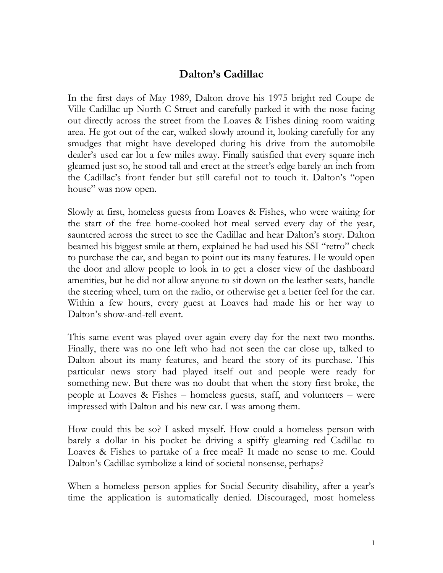## **Dalton's Cadillac**

In the first days of May 1989, Dalton drove his 1975 bright red Coupe de Ville Cadillac up North C Street and carefully parked it with the nose facing out directly across the street from the Loaves & Fishes dining room waiting area. He got out of the car, walked slowly around it, looking carefully for any smudges that might have developed during his drive from the automobile dealer's used car lot a few miles away. Finally satisfied that every square inch gleamed just so, he stood tall and erect at the street's edge barely an inch from the Cadillac's front fender but still careful not to touch it. Dalton's "open house" was now open.

Slowly at first, homeless guests from Loaves & Fishes, who were waiting for the start of the free home-cooked hot meal served every day of the year, sauntered across the street to see the Cadillac and hear Dalton's story. Dalton beamed his biggest smile at them, explained he had used his SSI "retro" check to purchase the car, and began to point out its many features. He would open the door and allow people to look in to get a closer view of the dashboard amenities, but he did not allow anyone to sit down on the leather seats, handle the steering wheel, turn on the radio, or otherwise get a better feel for the car. Within a few hours, every guest at Loaves had made his or her way to Dalton's show-and-tell event.

This same event was played over again every day for the next two months. Finally, there was no one left who had not seen the car close up, talked to Dalton about its many features, and heard the story of its purchase. This particular news story had played itself out and people were ready for something new. But there was no doubt that when the story first broke, the people at Loaves & Fishes – homeless guests, staff, and volunteers – were impressed with Dalton and his new car. I was among them.

How could this be so? I asked myself. How could a homeless person with barely a dollar in his pocket be driving a spiffy gleaming red Cadillac to Loaves & Fishes to partake of a free meal? It made no sense to me. Could Dalton's Cadillac symbolize a kind of societal nonsense, perhaps?

When a homeless person applies for Social Security disability, after a year's time the application is automatically denied. Discouraged, most homeless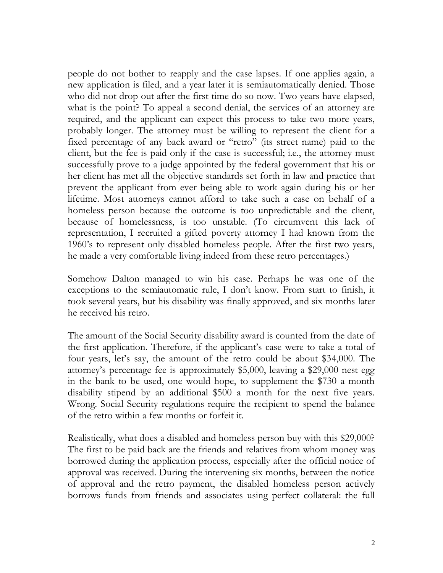people do not bother to reapply and the case lapses. If one applies again, a new application is filed, and a year later it is semiautomatically denied. Those who did not drop out after the first time do so now. Two years have elapsed, what is the point? To appeal a second denial, the services of an attorney are required, and the applicant can expect this process to take two more years, probably longer. The attorney must be willing to represent the client for a fixed percentage of any back award or "retro" (its street name) paid to the client, but the fee is paid only if the case is successful; i.e., the attorney must successfully prove to a judge appointed by the federal government that his or her client has met all the objective standards set forth in law and practice that prevent the applicant from ever being able to work again during his or her lifetime. Most attorneys cannot afford to take such a case on behalf of a homeless person because the outcome is too unpredictable and the client, because of homelessness, is too unstable. (To circumvent this lack of representation, I recruited a gifted poverty attorney I had known from the 1960's to represent only disabled homeless people. After the first two years, he made a very comfortable living indeed from these retro percentages.)

Somehow Dalton managed to win his case. Perhaps he was one of the exceptions to the semiautomatic rule, I don't know. From start to finish, it took several years, but his disability was finally approved, and six months later he received his retro.

The amount of the Social Security disability award is counted from the date of the first application. Therefore, if the applicant's case were to take a total of four years, let's say, the amount of the retro could be about \$34,000. The attorney's percentage fee is approximately \$5,000, leaving a \$29,000 nest egg in the bank to be used, one would hope, to supplement the \$730 a month disability stipend by an additional \$500 a month for the next five years. Wrong. Social Security regulations require the recipient to spend the balance of the retro within a few months or forfeit it.

Realistically, what does a disabled and homeless person buy with this \$29,000? The first to be paid back are the friends and relatives from whom money was borrowed during the application process, especially after the official notice of approval was received. During the intervening six months, between the notice of approval and the retro payment, the disabled homeless person actively borrows funds from friends and associates using perfect collateral: the full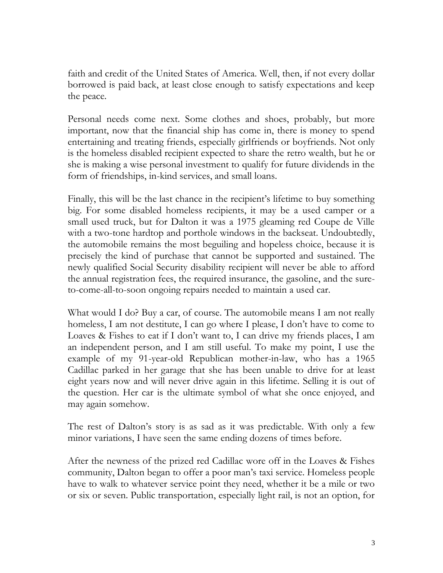faith and credit of the United States of America. Well, then, if not every dollar borrowed is paid back, at least close enough to satisfy expectations and keep the peace.

Personal needs come next. Some clothes and shoes, probably, but more important, now that the financial ship has come in, there is money to spend entertaining and treating friends, especially girlfriends or boyfriends. Not only is the homeless disabled recipient expected to share the retro wealth, but he or she is making a wise personal investment to qualify for future dividends in the form of friendships, in-kind services, and small loans.

Finally, this will be the last chance in the recipient's lifetime to buy something big. For some disabled homeless recipients, it may be a used camper or a small used truck, but for Dalton it was a 1975 gleaming red Coupe de Ville with a two-tone hardtop and porthole windows in the backseat. Undoubtedly, the automobile remains the most beguiling and hopeless choice, because it is precisely the kind of purchase that cannot be supported and sustained. The newly qualified Social Security disability recipient will never be able to afford the annual registration fees, the required insurance, the gasoline, and the sureto-come-all-to-soon ongoing repairs needed to maintain a used car.

What would I do? Buy a car, of course. The automobile means I am not really homeless, I am not destitute, I can go where I please, I don't have to come to Loaves & Fishes to eat if I don't want to, I can drive my friends places, I am an independent person, and I am still useful. To make my point, I use the example of my 91-year-old Republican mother-in-law, who has a 1965 Cadillac parked in her garage that she has been unable to drive for at least eight years now and will never drive again in this lifetime. Selling it is out of the question. Her car is the ultimate symbol of what she once enjoyed, and may again somehow.

The rest of Dalton's story is as sad as it was predictable. With only a few minor variations, I have seen the same ending dozens of times before.

After the newness of the prized red Cadillac wore off in the Loaves & Fishes community, Dalton began to offer a poor man's taxi service. Homeless people have to walk to whatever service point they need, whether it be a mile or two or six or seven. Public transportation, especially light rail, is not an option, for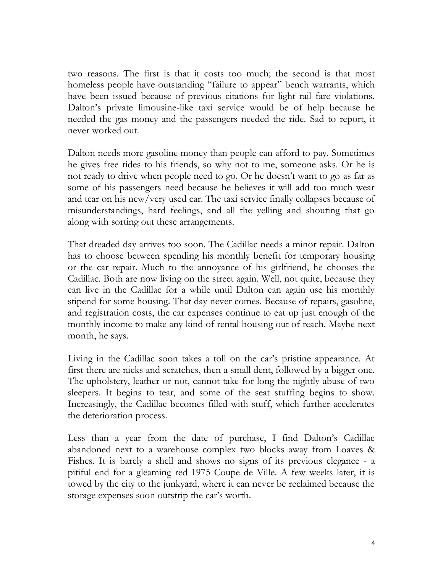two reasons. The first is that it costs too much; the second is that most homeless people have outstanding "failure to appear" bench warrants, which have been issued because of previous citations for light rail fare violations. Dalton's private limousine-like taxi service would be of help because he needed the gas money and the passengers needed the ride. Sad to report, it never worked out.

Dalton needs more gasoline money than people can afford to pay. Sometimes he gives free rides to his friends, so why not to me, someone asks. Or he is not ready to drive when people need to go. Or he doesn't want to go as far as some of his passengers need because he believes it will add too much wear and tear on his new/very used car. The taxi service finally collapses because of misunderstandings, hard feelings, and all the yelling and shouting that go along with sorting out these arrangements.

That dreaded day arrives too soon. The Cadillac needs a minor repair. Dalton has to choose between spending his monthly benefit for temporary housing or the car repair. Much to the annoyance of his girlfriend, he chooses the Cadillac. Both are now living on the street again. Well, not quite, because they can live in the Cadillac for a while until Dalton can again use his monthly stipend for some housing. That day never comes. Because of repairs, gasoline, and registration costs, the car expenses continue to eat up just enough of the monthly income to make any kind of rental housing out of reach. Maybe next month, he says.

Living in the Cadillac soon takes a toll on the car's pristine appearance. At first there are nicks and scratches, then a small dent, followed by a bigger one. The upholstery, leather or not, cannot take for long the nightly abuse of two sleepers. It begins to tear, and some of the seat stuffing begins to show. Increasingly, the Cadillac becomes filled with stuff, which further accelerates the deterioration process.

Less than a year from the date of purchase, I find Dalton's Cadillac abandoned next to a warehouse complex two blocks away from Loaves & Fishes. It is barely a shell and shows no signs of its previous elegance - a pitiful end for a gleaming red 1975 Coupe de Ville. A few weeks later, it is towed by the city to the junkyard, where it can never be reclaimed because the storage expenses soon outstrip the car's worth.